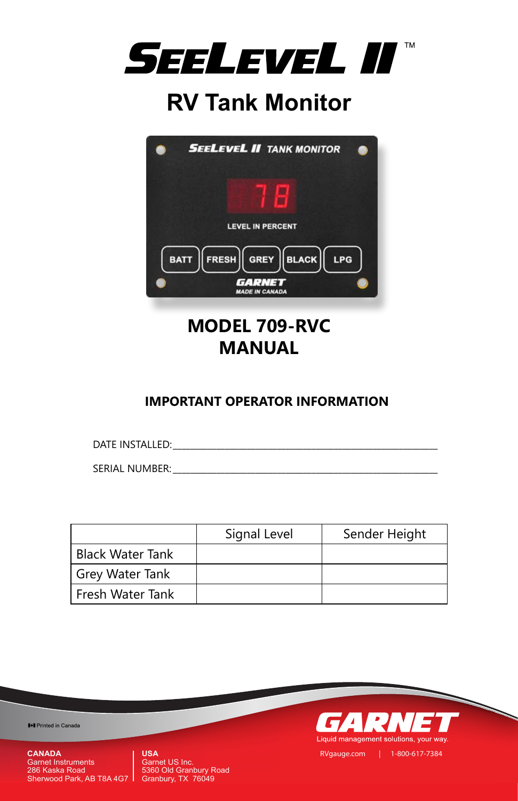

# **RV Tank Monitor**



## **IMPORTANT OPERATOR INFORMATION**

DATE INSTALLED:

SERIAL NUMBER: \_\_\_\_\_\_\_\_\_\_\_\_\_\_\_\_\_\_\_\_\_\_\_\_\_\_\_\_\_\_\_\_\_\_\_\_\_\_\_\_\_\_\_\_\_\_\_\_\_\_\_\_\_\_\_\_\_\_\_\_\_

|                         | Signal Level | Sender Height |
|-------------------------|--------------|---------------|
| <b>Black Water Tank</b> |              |               |
| Grey Water Tank         |              |               |
| Fresh Water Tank        |              |               |
|                         |              |               |

I Printed in Canada

**USA** Garnet US Inc. 5360 Old Granbury Road Granbury, TX 76049

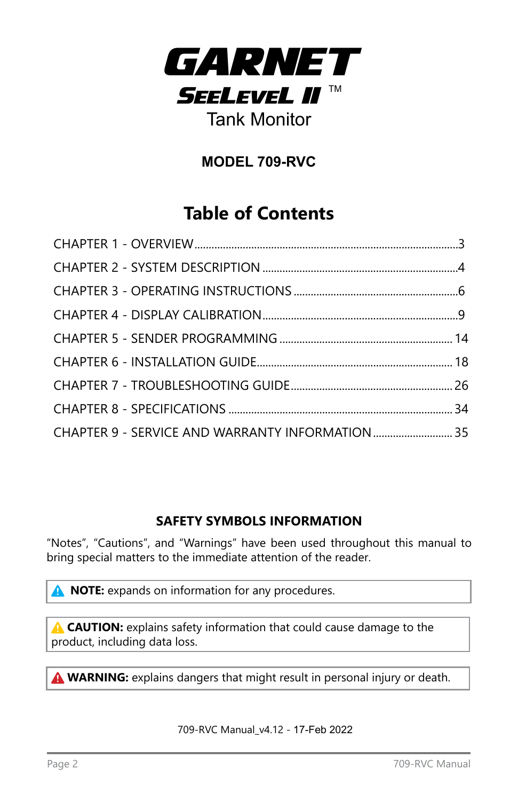

## **MODEL 709-RVC**

## **Table of Contents**

| CHAPTER 9 - SERVICE AND WARRANTY INFORMATION  35 |  |
|--------------------------------------------------|--|

## **SAFETY SYMBOLS INFORMATION**

"Notes", "Cautions", and "Warnings" have been used throughout this manual to bring special matters to the immediate attention of the reader.

**NOTE:** expands on information for any procedures.

**A CAUTION:** explains safety information that could cause damage to the product, including data loss.

**A WARNING:** explains dangers that might result in personal injury or death.

709-RVC Manual\_v4.12 - 17-Feb 2022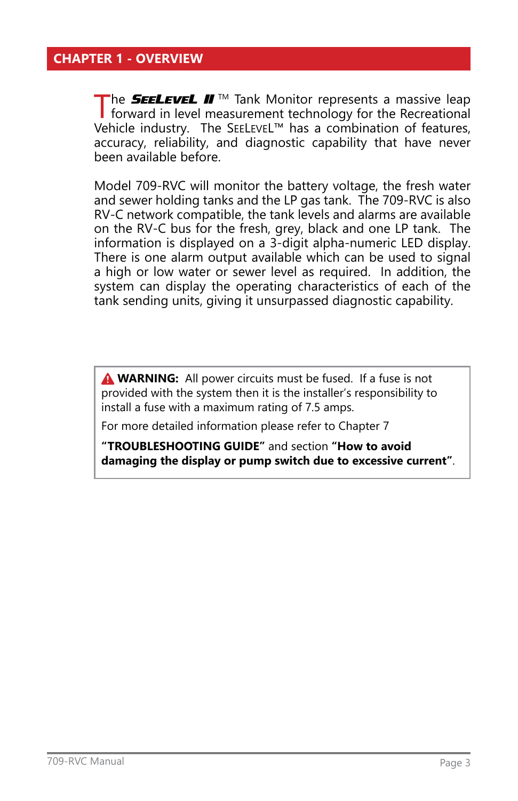## <span id="page-2-0"></span>**CHAPTER 1 - OVERVIEW**

The **SEELEVEL II** IM Tank Monitor represents a massive leap forward in level measurement technology for the Recreational Vehicle industry. The SEELEVEL™ has a combination of features, accuracy, reliability, and diagnostic capability that have never been available before.

Model 709-RVC will monitor the battery voltage, the fresh water and sewer holding tanks and the LP gas tank. The 709-RVC is also RV-C network compatible, the tank levels and alarms are available on the RV-C bus for the fresh, grey, black and one LP tank. The information is displayed on a 3-digit alpha-numeric LED display. There is one alarm output available which can be used to signal a high or low water or sewer level as required. In addition, the system can display the operating characteristics of each of the tank sending units, giving it unsurpassed diagnostic capability.

**A WARNING:** All power circuits must be fused. If a fuse is not provided with the system then it is the installer's responsibility to install a fuse with a maximum rating of 7.5 amps.

For more detailed information please refer to Chapter 7

**"TROUBLESHOOTING GUIDE"** and section **"How to avoid damaging the display or pump switch due to excessive current"**.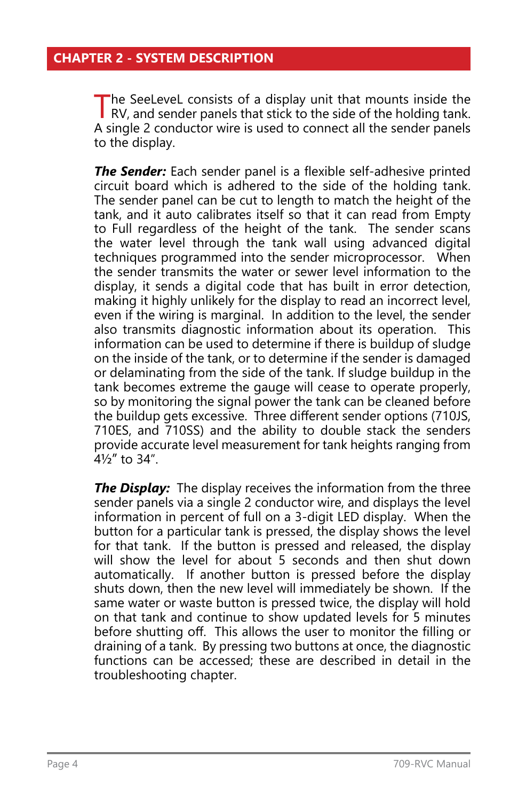<span id="page-3-0"></span>The SeeLeveL consists of a display unit that mounts inside the RV, and sender panels that stick to the side of the holding tank. A single 2 conductor wire is used to connect all the sender panels to the display.

*The Sender:* Each sender panel is a flexible self-adhesive printed circuit board which is adhered to the side of the holding tank. The sender panel can be cut to length to match the height of the tank, and it auto calibrates itself so that it can read from Empty to Full regardless of the height of the tank. The sender scans the water level through the tank wall using advanced digital techniques programmed into the sender microprocessor. When the sender transmits the water or sewer level information to the display, it sends a digital code that has built in error detection, making it highly unlikely for the display to read an incorrect level, even if the wiring is marginal. In addition to the level, the sender also transmits diagnostic information about its operation. This information can be used to determine if there is buildup of sludge on the inside of the tank, or to determine if the sender is damaged or delaminating from the side of the tank. If sludge buildup in the tank becomes extreme the gauge will cease to operate properly, so by monitoring the signal power the tank can be cleaned before the buildup gets excessive. Three different sender options (710JS, 710ES, and 710SS) and the ability to double stack the senders provide accurate level measurement for tank heights ranging from  $4\frac{1}{2}$ " to 34"

*The Display:* The display receives the information from the three sender panels via a single 2 conductor wire, and displays the level information in percent of full on a 3-digit LED display. When the button for a particular tank is pressed, the display shows the level for that tank. If the button is pressed and released, the display will show the level for about 5 seconds and then shut down automatically. If another button is pressed before the display shuts down, then the new level will immediately be shown. If the same water or waste button is pressed twice, the display will hold on that tank and continue to show updated levels for 5 minutes before shutting off. This allows the user to monitor the filling or draining of a tank. By pressing two buttons at once, the diagnostic functions can be accessed; these are described in detail in the troubleshooting chapter.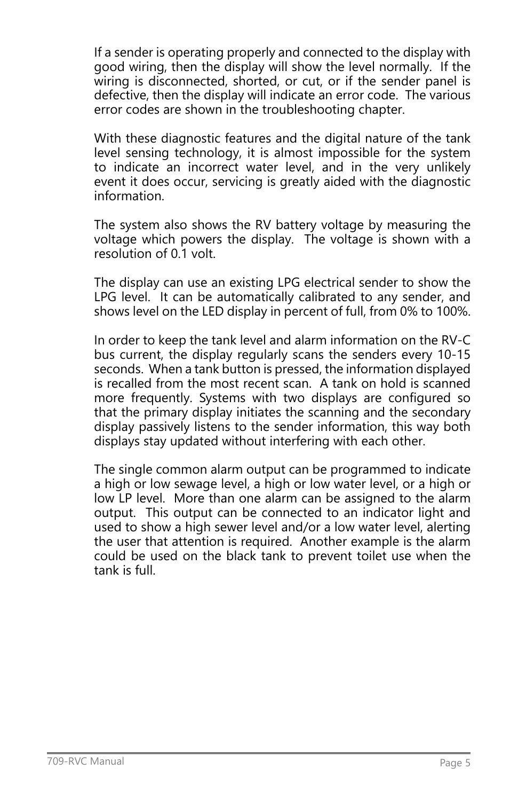If a sender is operating properly and connected to the display with good wiring, then the display will show the level normally. If the wiring is disconnected, shorted, or cut, or if the sender panel is defective, then the display will indicate an error code. The various error codes are shown in the troubleshooting chapter.

With these diagnostic features and the digital nature of the tank level sensing technology, it is almost impossible for the system to indicate an incorrect water level, and in the very unlikely event it does occur, servicing is greatly aided with the diagnostic information.

The system also shows the RV battery voltage by measuring the voltage which powers the display. The voltage is shown with a resolution of 0.1 volt.

The display can use an existing LPG electrical sender to show the LPG level. It can be automatically calibrated to any sender, and shows level on the LED display in percent of full, from 0% to 100%.

In order to keep the tank level and alarm information on the RV-C bus current, the display regularly scans the senders every 10-15 seconds. When a tank button is pressed, the information displayed is recalled from the most recent scan. A tank on hold is scanned more frequently. Systems with two displays are configured so that the primary display initiates the scanning and the secondary display passively listens to the sender information, this way both displays stay updated without interfering with each other.

The single common alarm output can be programmed to indicate a high or low sewage level, a high or low water level, or a high or low LP level. More than one alarm can be assigned to the alarm output. This output can be connected to an indicator light and used to show a high sewer level and/or a low water level, alerting the user that attention is required. Another example is the alarm could be used on the black tank to prevent toilet use when the tank is full.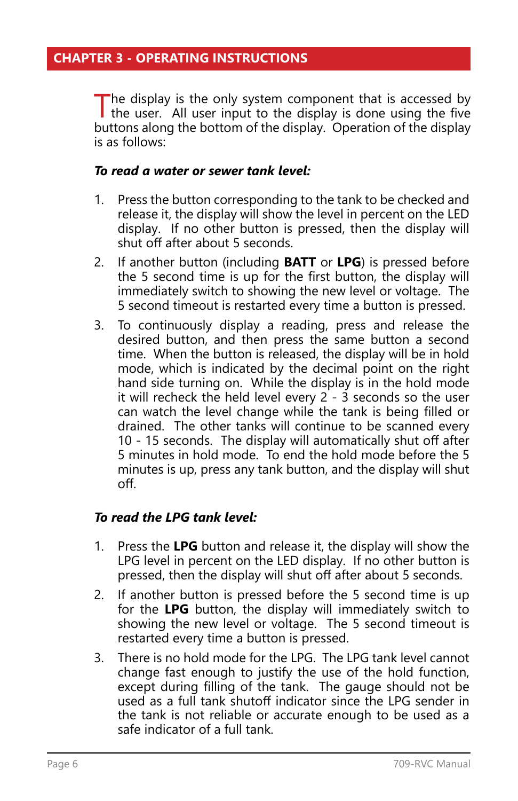<span id="page-5-0"></span>The display is the only system component that is accessed by the user. All user input to the display is done using the five by the user in put to the display of the strategy of the display. buttons along the bottom of the display. Operation of the display is as follows:

#### *To read a water or sewer tank level:*

- 1. Press the button corresponding to the tank to be checked and release it, the display will show the level in percent on the LED display. If no other button is pressed, then the display will shut off after about 5 seconds.
- 2. If another button (including **BATT** or **LPG**) is pressed before the 5 second time is up for the first button, the display will immediately switch to showing the new level or voltage. The 5 second timeout is restarted every time a button is pressed.
- 3. To continuously display a reading, press and release the desired button, and then press the same button a second time. When the button is released, the display will be in hold mode, which is indicated by the decimal point on the right hand side turning on. While the display is in the hold mode it will recheck the held level every  $2 - 3$  seconds so the user can watch the level change while the tank is being filled or drained. The other tanks will continue to be scanned every 10 - 15 seconds. The display will automatically shut off after 5 minutes in hold mode. To end the hold mode before the 5 minutes is up, press any tank button, and the display will shut off.

## *To read the LPG tank level:*

- 1. Press the **LPG** button and release it, the display will show the LPG level in percent on the LED display. If no other button is pressed, then the display will shut off after about 5 seconds.
- 2. If another button is pressed before the 5 second time is up for the **LPG** button, the display will immediately switch to showing the new level or voltage. The 5 second timeout is restarted every time a button is pressed.
- 3. There is no hold mode for the LPG. The LPG tank level cannot change fast enough to justify the use of the hold function, except during filling of the tank. The gauge should not be used as a full tank shutoff indicator since the LPG sender in the tank is not reliable or accurate enough to be used as a safe indicator of a full tank.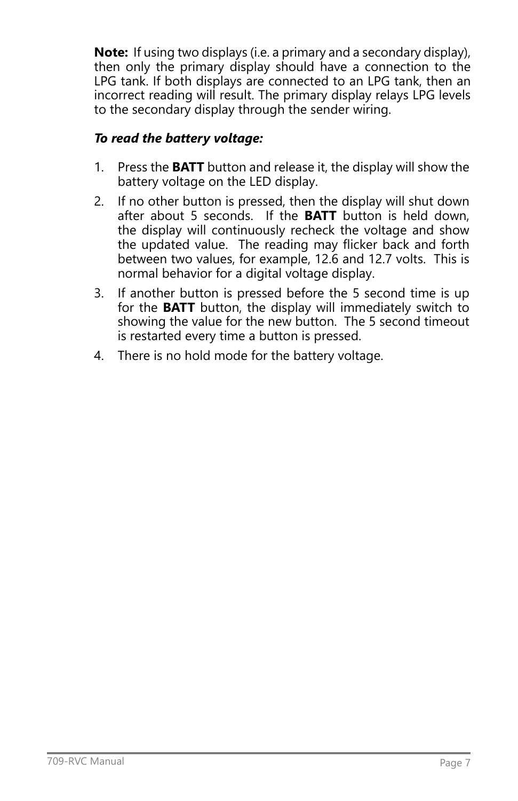**Note:** If using two displays (i.e. a primary and a secondary display), then only the primary display should have a connection to the LPG tank. If both displays are connected to an LPG tank, then an incorrect reading will result. The primary display relays LPG levels to the secondary display through the sender wiring.

## *To read the battery voltage:*

- 1. Press the **BATT** button and release it, the display will show the battery voltage on the LED display.
- 2. If no other button is pressed, then the display will shut down after about 5 seconds. If the **BATT** button is held down, the display will continuously recheck the voltage and show the updated value. The reading may flicker back and forth between two values, for example, 12.6 and 12.7 volts. This is normal behavior for a digital voltage display.
- 3. If another button is pressed before the 5 second time is up for the **BATT** button, the display will immediately switch to showing the value for the new button. The 5 second timeout is restarted every time a button is pressed.
- 4. There is no hold mode for the battery voltage.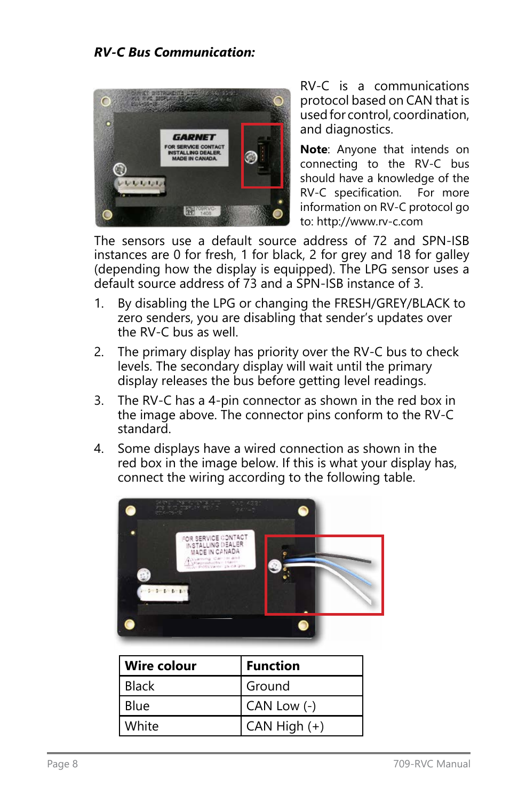## *RV-C Bus Communication:*



RV-C is a communications protocol based on CAN that is used for control, coordination, and diagnostics.

**Note**: Anyone that intends on connecting to the RV-C bus should have a knowledge of the RV-C specification. For more information on RV-C protocol go to: http://www.rv-c.com

The sensors use a default source address of 72 and SPN-ISB instances are 0 for fresh, 1 for black, 2 for grey and 18 for galley (depending how the display is equipped). The LPG sensor uses a default source address of 73 and a SPN-ISB instance of 3.

- 1. By disabling the LPG or changing the FRESH/GREY/BLACK to zero senders, you are disabling that sender's updates over the RV-C bus as well.
- 2. The primary display has priority over the RV-C bus to check levels. The secondary display will wait until the primary display releases the bus before getting level readings.
- 3. The RV-C has a 4-pin connector as shown in the red box in the image above. The connector pins conform to the RV-C standard.
- 4. Some displays have a wired connection as shown in the red box in the image below. If this is what your display has, connect the wiring according to the following table.



| Wire colour  | <b>Function</b> |
|--------------|-----------------|
| <b>Black</b> | Ground          |
| Blue         | CAN Low $(-)$   |
| White        | CAN High (+)    |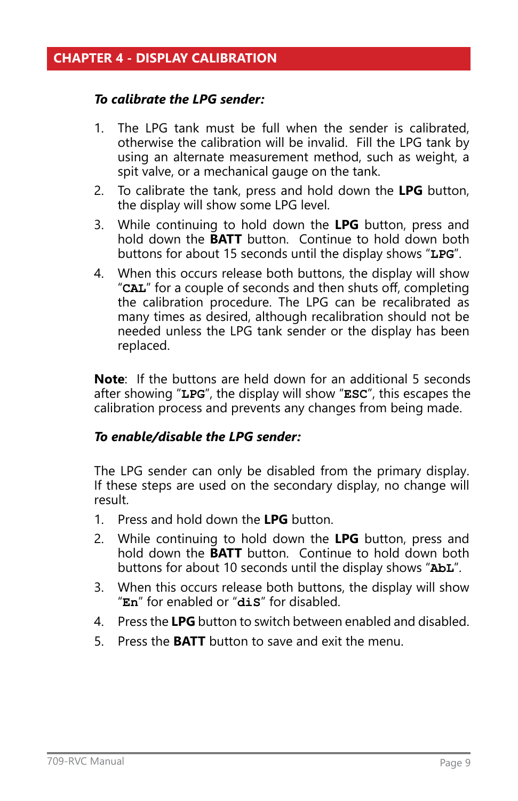#### <span id="page-8-0"></span>*To calibrate the LPG sender:*

- 1. The LPG tank must be full when the sender is calibrated, otherwise the calibration will be invalid. Fill the LPG tank by using an alternate measurement method, such as weight, a spit valve, or a mechanical gauge on the tank.
- 2. To calibrate the tank, press and hold down the **LPG** button, the display will show some LPG level.
- 3. While continuing to hold down the **LPG** button, press and hold down the **BATT** button. Continue to hold down both buttons for about 15 seconds until the display shows "**LPG**".
- 4. When this occurs release both buttons, the display will show "**CAL**" for a couple of seconds and then shuts off, completing the calibration procedure. The LPG can be recalibrated as many times as desired, although recalibration should not be needed unless the LPG tank sender or the display has been replaced.

**Note**: If the buttons are held down for an additional 5 seconds after showing "**LPG**", the display will show "**ESC**", this escapes the calibration process and prevents any changes from being made.

## *To enable/disable the LPG sender:*

The LPG sender can only be disabled from the primary display. If these steps are used on the secondary display, no change will result.

- 1. Press and hold down the **LPG** button.
- 2. While continuing to hold down the **LPG** button, press and hold down the **BATT** button. Continue to hold down both buttons for about 10 seconds until the display shows "**AbL**".
- 3. When this occurs release both buttons, the display will show "**En**" for enabled or "**diS**" for disabled.
- 4. Press the **LPG** button to switch between enabled and disabled.
- 5. Press the **BATT** button to save and exit the menu.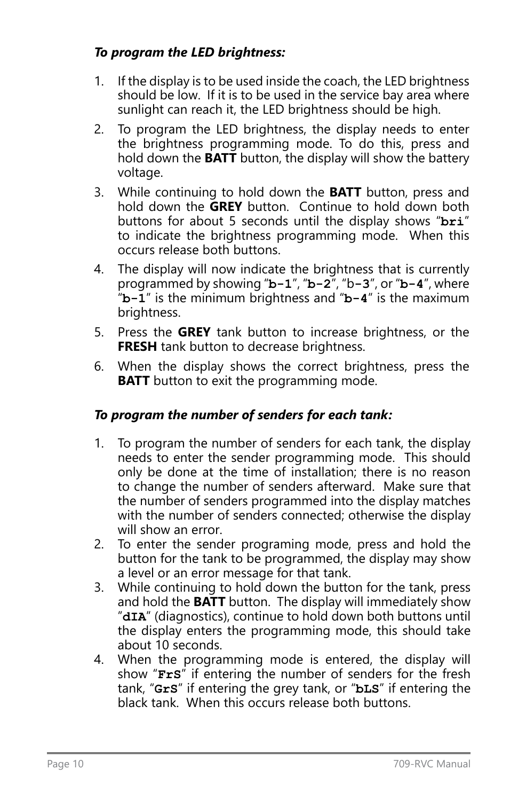## *To program the LED brightness:*

- 1. If the display is to be used inside the coach, the LED brightness should be low. If it is to be used in the service bay area where sunlight can reach it, the LED brightness should be high.
- 2. To program the LED brightness, the display needs to enter the brightness programming mode. To do this, press and hold down the **BATT** button, the display will show the battery voltage.
- 3. While continuing to hold down the **BATT** button, press and hold down the **GREY** button. Continue to hold down both buttons for about 5 seconds until the display shows "**bri**" to indicate the brightness programming mode. When this occurs release both buttons.
- 4. The display will now indicate the brightness that is currently programmed by showing "**b-1**", "**b-2**", "b**-3**", or "**b-4**", where "**b-1**" is the minimum brightness and "**b-4**" is the maximum brightness.
- 5. Press the **GREY** tank button to increase brightness, or the **FRESH** tank button to decrease brightness.
- 6. When the display shows the correct brightness, press the **BATT** button to exit the programming mode.

## *To program the number of senders for each tank:*

- 1. To program the number of senders for each tank, the display needs to enter the sender programming mode. This should only be done at the time of installation; there is no reason to change the number of senders afterward. Make sure that the number of senders programmed into the display matches with the number of senders connected; otherwise the display will show an error.
- 2. To enter the sender programing mode, press and hold the button for the tank to be programmed, the display may show a level or an error message for that tank.
- 3. While continuing to hold down the button for the tank, press and hold the **BATT** button. The display will immediately show "**dIA**" (diagnostics), continue to hold down both buttons until the display enters the programming mode, this should take about 10 seconds.
- 4. When the programming mode is entered, the display will show "**FrS**" if entering the number of senders for the fresh tank, "**GrS**" if entering the grey tank, or "**bLS**" if entering the black tank. When this occurs release both buttons.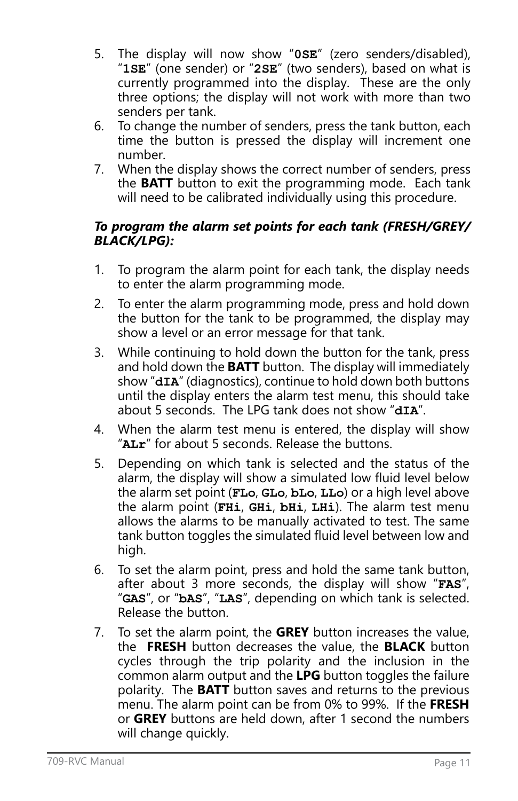- 5. The display will now show "**0SE**" (zero senders/disabled), "**1SE**" (one sender) or "**2SE**" (two senders), based on what is currently programmed into the display. These are the only three options; the display will not work with more than two senders per tank.
- 6. To change the number of senders, press the tank button, each time the button is pressed the display will increment one number.
- 7. When the display shows the correct number of senders, press the **BATT** button to exit the programming mode. Each tank will need to be calibrated individually using this procedure.

## *To program the alarm set points for each tank (FRESH/GREY/ BLACK/LPG):*

- 1. To program the alarm point for each tank, the display needs to enter the alarm programming mode.
- 2. To enter the alarm programming mode, press and hold down the button for the tank to be programmed, the display may show a level or an error message for that tank.
- 3. While continuing to hold down the button for the tank, press and hold down the **BATT** button. The display will immediately show "dIA" (diagnostics), continue to hold down both buttons until the display enters the alarm test menu, this should take about 5 seconds. The LPG tank does not show "**dIA**".
- 4. When the alarm test menu is entered, the display will show "**ALr**" for about 5 seconds. Release the buttons.
- 5. Depending on which tank is selected and the status of the alarm, the display will show a simulated low fluid level below the alarm set point (**FLo**, **GLo**, **bLo**, **LLo**) or a high level above the alarm point (**FHi**, **GHi**, **bHi**, **LHi**). The alarm test menu allows the alarms to be manually activated to test. The same tank button toggles the simulated fluid level between low and high.
- 6. To set the alarm point, press and hold the same tank button, after about 3 more seconds, the display will show "**FAS**", "**GAS**", or "**bAS**", "**LAS**", depending on which tank is selected. Release the button.
- 7. To set the alarm point, the **GREY** button increases the value, the **FRESH** button decreases the value, the **BLACK** button cycles through the trip polarity and the inclusion in the common alarm output and the **LPG** button toggles the failure polarity. The **BATT** button saves and returns to the previous menu. The alarm point can be from 0% to 99%. If the **FRESH** or **GREY** buttons are held down, after 1 second the numbers will change quickly.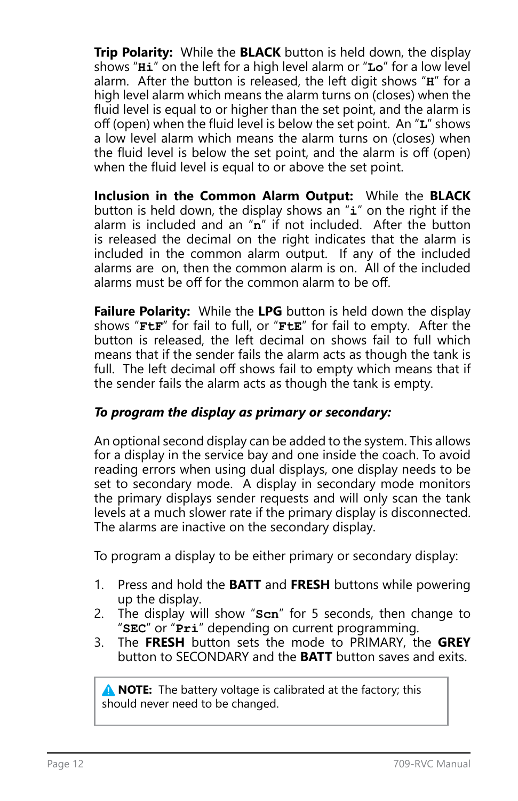**Trip Polarity:** While the **BLACK** button is held down, the display shows "**Hi**" on the left for a high level alarm or "**Lo**" for a low level alarm. After the button is released, the left digit shows "**H**" for a high level alarm which means the alarm turns on (closes) when the fluid level is equal to or higher than the set point, and the alarm is off (open) when the fluid level is below the set point. An "**L**" shows a low level alarm which means the alarm turns on (closes) when the fluid level is below the set point, and the alarm is off (open) when the fluid level is equal to or above the set point.

**Inclusion in the Common Alarm Output:** While the **BLACK** button is held down, the display shows an "**i**" on the right if the alarm is included and an "**n**" if not included. After the button is released the decimal on the right indicates that the alarm is included in the common alarm output. If any of the included alarms are on, then the common alarm is on. All of the included alarms must be off for the common alarm to be off.

**Failure Polarity:** While the **LPG** button is held down the display shows "**FtF**" for fail to full, or "**FtE**" for fail to empty. After the button is released, the left decimal on shows fail to full which means that if the sender fails the alarm acts as though the tank is full. The left decimal off shows fail to empty which means that if the sender fails the alarm acts as though the tank is empty.

## *To program the display as primary or secondary:*

An optional second display can be added to the system. This allows for a display in the service bay and one inside the coach. To avoid reading errors when using dual displays, one display needs to be set to secondary mode. A display in secondary mode monitors the primary displays sender requests and will only scan the tank levels at a much slower rate if the primary display is disconnected. The alarms are inactive on the secondary display.

To program a display to be either primary or secondary display:

- 1. Press and hold the **BATT** and **FRESH** buttons while powering up the display.
- 2. The display will show "**Scn**" for 5 seconds, then change to "**SEC**" or "**Pri**" depending on current programming.
- 3. The **FRESH** button sets the mode to PRIMARY, the **GREY** button to SECONDARY and the **BATT** button saves and exits.

**A NOTE:** The battery voltage is calibrated at the factory; this should never need to be changed.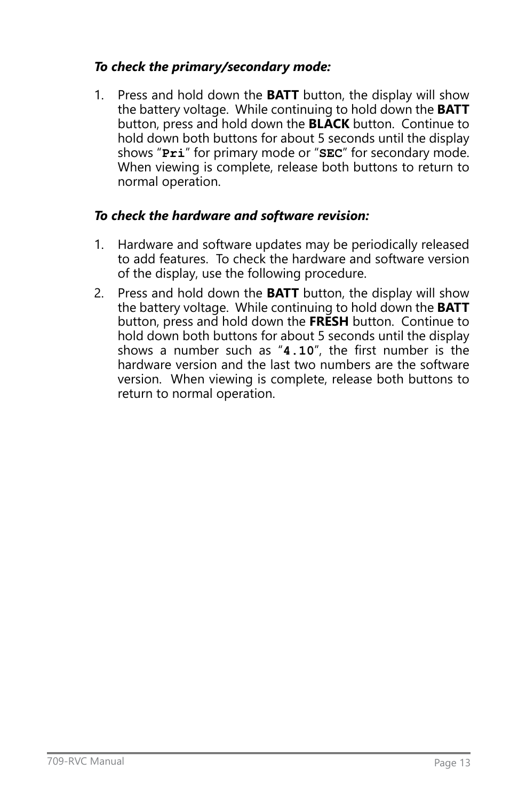## *To check the primary/secondary mode:*

1. Press and hold down the **BATT** button, the display will show the battery voltage. While continuing to hold down the **BATT** button, press and hold down the **BLACK** button. Continue to hold down both buttons for about 5 seconds until the display shows "**Pri**" for primary mode or "**SEC**" for secondary mode. When viewing is complete, release both buttons to return to normal operation.

## *To check the hardware and software revision:*

- 1. Hardware and software updates may be periodically released to add features. To check the hardware and software version of the display, use the following procedure.
- 2. Press and hold down the **BATT** button, the display will show the battery voltage. While continuing to hold down the **BATT** button, press and hold down the **FRESH** button. Continue to hold down both buttons for about 5 seconds until the display shows a number such as "**4.10**", the first number is the hardware version and the last two numbers are the software version. When viewing is complete, release both buttons to return to normal operation.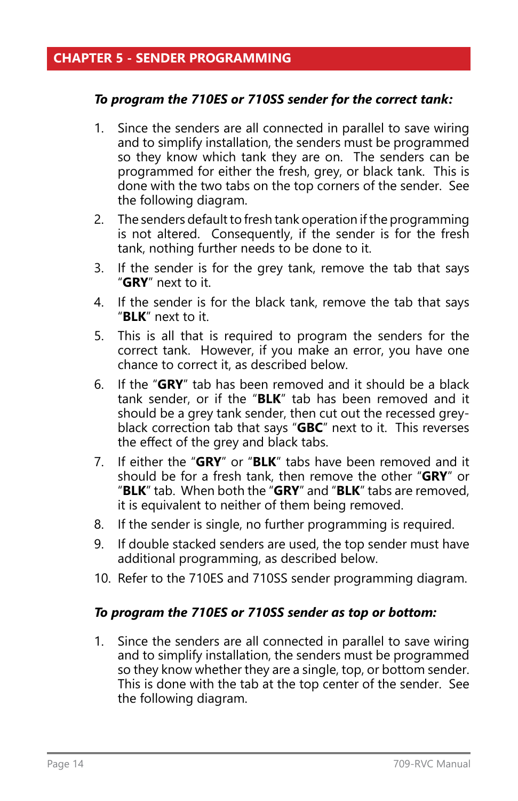#### <span id="page-13-0"></span>*To program the 710ES or 710SS sender for the correct tank:*

- 1. Since the senders are all connected in parallel to save wiring and to simplify installation, the senders must be programmed so they know which tank they are on. The senders can be programmed for either the fresh, grey, or black tank. This is done with the two tabs on the top corners of the sender. See the following diagram.
- 2. The senders default to fresh tank operation if the programming is not altered. Consequently, if the sender is for the fresh tank, nothing further needs to be done to it.
- 3. If the sender is for the grey tank, remove the tab that says "**GRY**" next to it.
- 4. If the sender is for the black tank, remove the tab that says "**BLK**" next to it.
- 5. This is all that is required to program the senders for the correct tank. However, if you make an error, you have one chance to correct it, as described below.
- 6. If the "**GRY**" tab has been removed and it should be a black tank sender, or if the "**BLK**" tab has been removed and it should be a grey tank sender, then cut out the recessed greyblack correction tab that says "**GBC**" next to it. This reverses the effect of the grey and black tabs.
- 7. If either the "**GRY**" or "**BLK**" tabs have been removed and it should be for a fresh tank, then remove the other "**GRY**" or "**BLK**" tab. When both the "**GRY**" and "**BLK**" tabs are removed, it is equivalent to neither of them being removed.
- 8. If the sender is single, no further programming is required.
- 9. If double stacked senders are used, the top sender must have additional programming, as described below.
- 10. Refer to the 710ES and 710SS sender programming diagram.

#### *To program the 710ES or 710SS sender as top or bottom:*

1. Since the senders are all connected in parallel to save wiring and to simplify installation, the senders must be programmed so they know whether they are a single, top, or bottom sender. This is done with the tab at the top center of the sender. See the following diagram.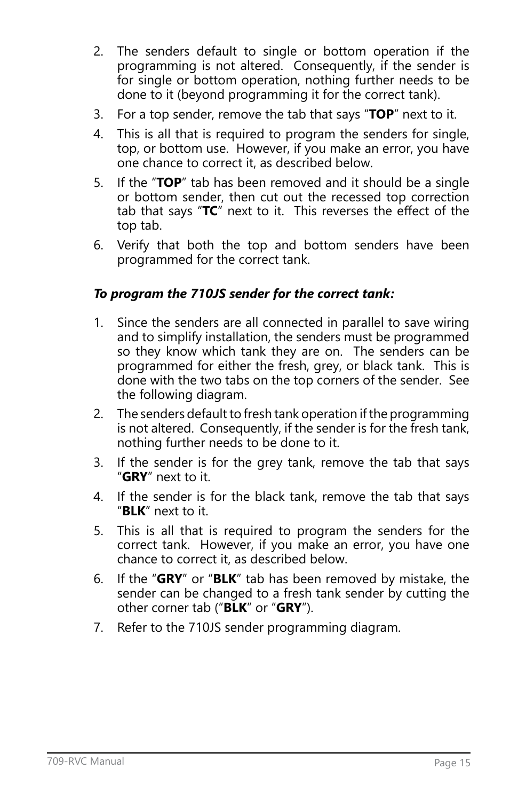- 2. The senders default to single or bottom operation if the programming is not altered. Consequently, if the sender is for single or bottom operation, nothing further needs to be done to it (beyond programming it for the correct tank).
- 3. For a top sender, remove the tab that says "**TOP**" next to it.
- 4. This is all that is required to program the senders for single, top, or bottom use. However, if you make an error, you have one chance to correct it, as described below.
- 5. If the "**TOP**" tab has been removed and it should be a single or bottom sender, then cut out the recessed top correction tab that says "**TC**" next to it. This reverses the effect of the top tab.
- 6. Verify that both the top and bottom senders have been programmed for the correct tank.

## *To program the 710JS sender for the correct tank:*

- 1. Since the senders are all connected in parallel to save wiring and to simplify installation, the senders must be programmed so they know which tank they are on. The senders can be programmed for either the fresh, grey, or black tank. This is done with the two tabs on the top corners of the sender. See the following diagram.
- 2. The senders default to fresh tank operation if the programming is not altered. Consequently, if the sender is for the fresh tank, nothing further needs to be done to it.
- 3. If the sender is for the grey tank, remove the tab that says "**GRY**" next to it.
- 4. If the sender is for the black tank, remove the tab that says "**BLK**" next to it.
- 5. This is all that is required to program the senders for the correct tank. However, if you make an error, you have one chance to correct it, as described below.
- 6. If the "**GRY**" or "**BLK**" tab has been removed by mistake, the sender can be changed to a fresh tank sender by cutting the other corner tab ("**BLK**" or "**GRY**").
- 7. Refer to the 710JS sender programming diagram.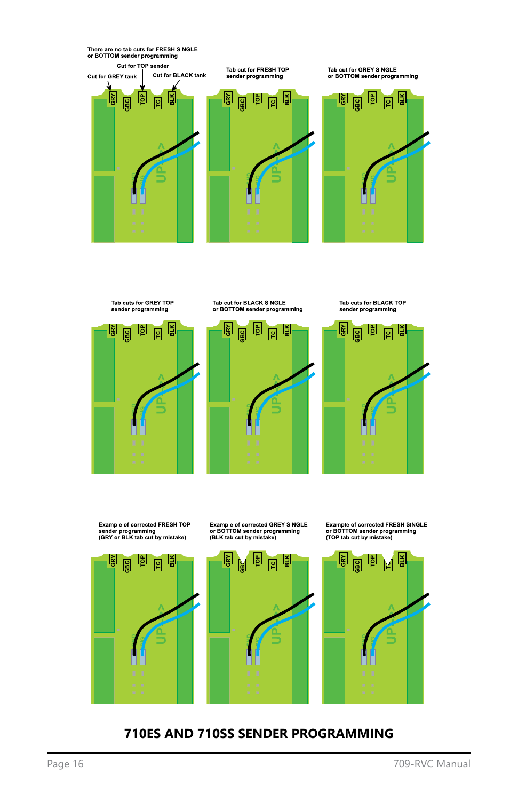





**710ES AND 710SS SENDER PROGRAMMING**

Example of corrected GREY SINGLE<br>or BOTTOM sender programming<br>(BLK tab cut by mistake)

Example of corrected FRESH SINGLE<br>or BOTTOM sender programming<br>(TOP tab cut by mistake)

시립





Tab cut for BLACK SINGLE<br>or BOTTOM sender programming



Tab cuts for BLACK TOP<br>sender programming

There are no tab cuts for FRESH SINGLE<br>or BOTTOM sender programming Cut for TOP sender Tab cut for FRESH TOP<br>sender programming Tab cut for GREY SINGLE<br>or BOTTOM sender programming Cut for BLACK tank Cut for GREY tank 圖 图 回图 <u>। है जिल्ला है।</u> 回图 <u>laj</u> 阍 圖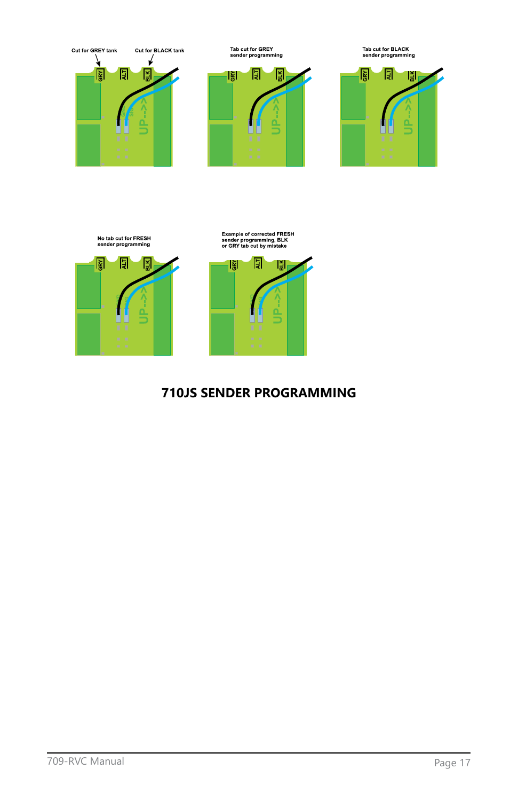

No tab cut for FRESH<br>sender programming 圓

圖

圖



## **710JS SENDER PROGRAMMING**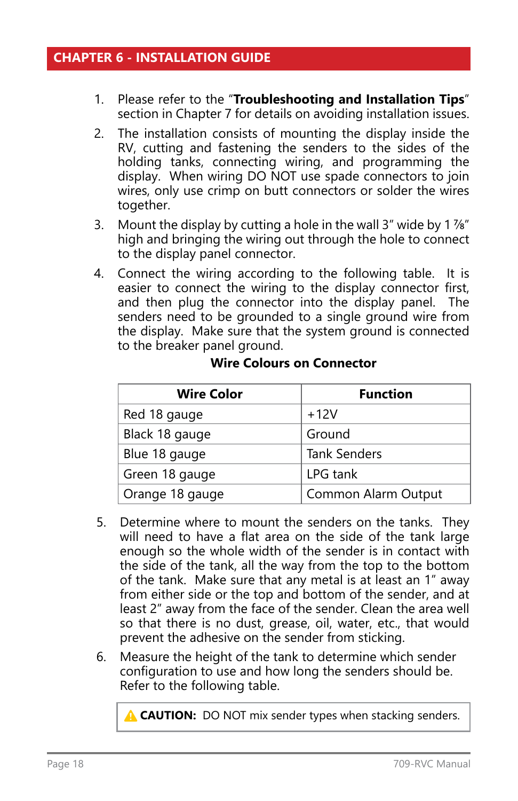- <span id="page-17-0"></span>1. Please refer to the "**Troubleshooting and Installation Tips**" section in Chapter 7 for details on avoiding installation issues.
- 2. The installation consists of mounting the display inside the RV, cutting and fastening the senders to the sides of the holding tanks, connecting wiring, and programming the display. When wiring DO NOT use spade connectors to join wires, only use crimp on butt connectors or solder the wires together.
- 3. Mount the display by cutting a hole in the wall 3" wide by 1 7/8" high and bringing the wiring out through the hole to connect to the display panel connector.
- 4. Connect the wiring according to the following table. It is easier to connect the wiring to the display connector first, and then plug the connector into the display panel. The senders need to be grounded to a single ground wire from the display. Make sure that the system ground is connected to the breaker panel ground.

| <b>Wire Color</b> | <b>Function</b>     |
|-------------------|---------------------|
| Red 18 gauge      | $+12V$              |
| Black 18 gauge    | Ground              |
| Blue 18 gauge     | <b>Tank Senders</b> |
| Green 18 gauge    | LPG tank            |
| Orange 18 gauge   | Common Alarm Output |

#### **Wire Colours on Connector**

- 5. Determine where to mount the senders on the tanks. They will need to have a flat area on the side of the tank large enough so the whole width of the sender is in contact with the side of the tank, all the way from the top to the bottom of the tank. Make sure that any metal is at least an 1" away from either side or the top and bottom of the sender, and at least 2" away from the face of the sender. Clean the area well so that there is no dust, grease, oil, water, etc., that would prevent the adhesive on the sender from sticking.
- 6. Measure the height of the tank to determine which sender configuration to use and how long the senders should be. Refer to the following table.

**A CAUTION:** DO NOT mix sender types when stacking senders.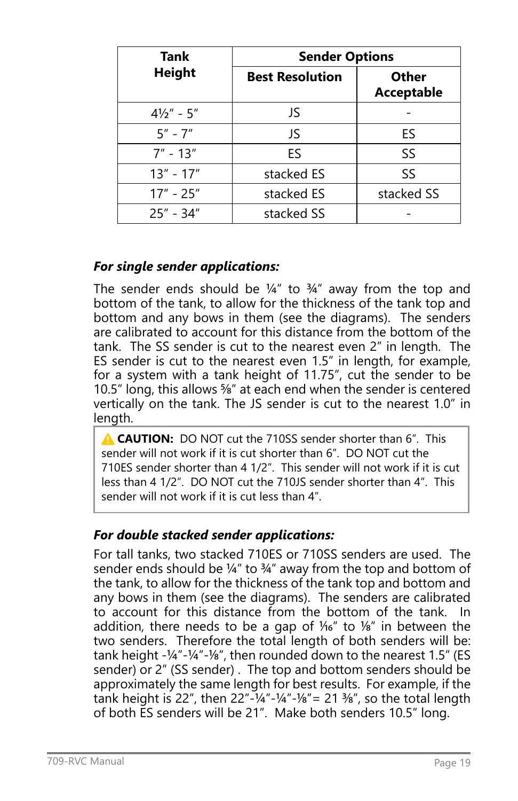| Tank                  | <b>Sender Options</b>  |                                   |
|-----------------------|------------------------|-----------------------------------|
| <b>Height</b>         | <b>Best Resolution</b> | <b>Other</b><br><b>Acceptable</b> |
| $4\frac{1}{2}$ " - 5" | JS                     |                                   |
| $5'' - 7''$           | JS                     | ES                                |
| $7'' - 13''$          | ES.                    | SS                                |
| $13" - 17"$           | stacked ES             | SS                                |
| $17" - 25"$           | stacked ES             | stacked SS                        |
| $25" - 34"$           | stacked SS             |                                   |

## *For single sender applications:*

The sender ends should be  $\frac{1}{4}$ " to  $\frac{3}{4}$ " away from the top and bottom of the tank, to allow for the thickness of the tank top and bottom and any bows in them (see the diagrams). The senders are calibrated to account for this distance from the bottom of the tank. The SS sender is cut to the nearest even 2" in length. The ES sender is cut to the nearest even 1.5" in length, for example, for a system with a tank height of 11.75", cut the sender to be 10.5" long, this allows <sup>5</sup>/<sub>8</sub>" at each end when the sender is centered vertically on the tank. The JS sender is cut to the nearest 1.0" in length.

**A CAUTION:** DO NOT cut the 710SS sender shorter than 6". This sender will not work if it is cut shorter than 6". DO NOT cut the 710ES sender shorter than 4 1/2". This sender will not work if it is cut less than 4 1/2". DO NOT cut the 710JS sender shorter than 4". This sender will not work if it is cut less than 4".

## *For double stacked sender applications:*

For tall tanks, two stacked 710ES or 710SS senders are used. The sender ends should be  $\frac{1}{4}$ " to  $\frac{3}{4}$ " away from the top and bottom of the tank, to allow for the thickness of the tank top and bottom and any bows in them (see the diagrams). The senders are calibrated to account for this distance from the bottom of the tank. addition, there needs to be a gap of  $1/16''$  to  $1/8''$  in between the two senders. Therefore the total length of both senders will be: tank height  $-1/4$ " $-1/4$ " $-1/8$ ", then rounded down to the nearest 1.5" (ES sender) or 2" (SS sender). The top and bottom senders should be approximately the same length for best results. For example, if the tank height is 22", then 22"- $\frac{1}{4}$ "- $\frac{1}{4}$ "- $\frac{1}{8}$ " = 21  $\frac{1}{8}$ ", so the total length of both ES senders will be 21". Make both senders 10.5" long.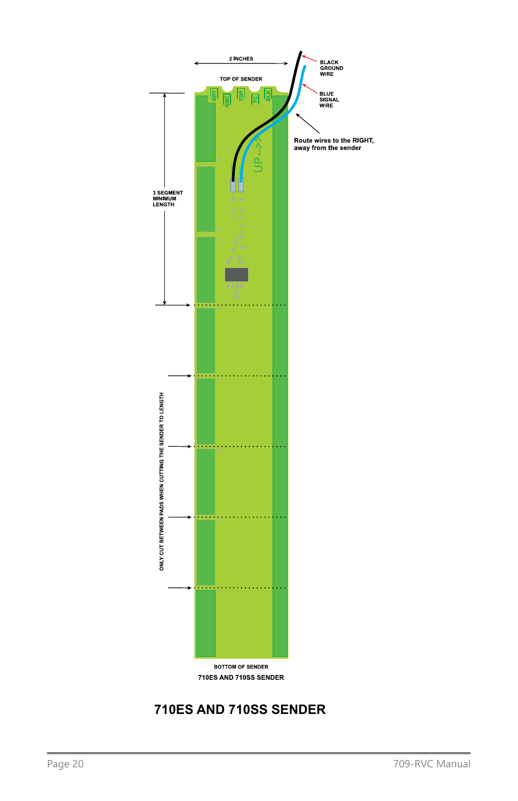

## **710ES AND 710SS SENDER**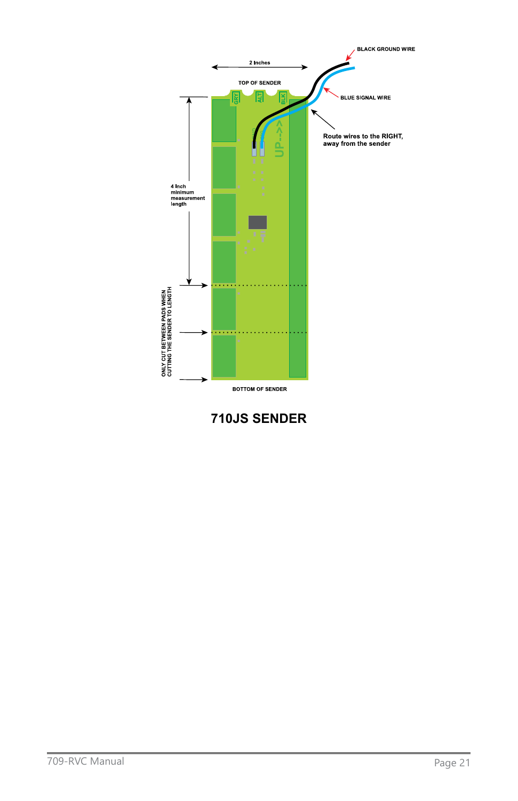

**710JS SENDER**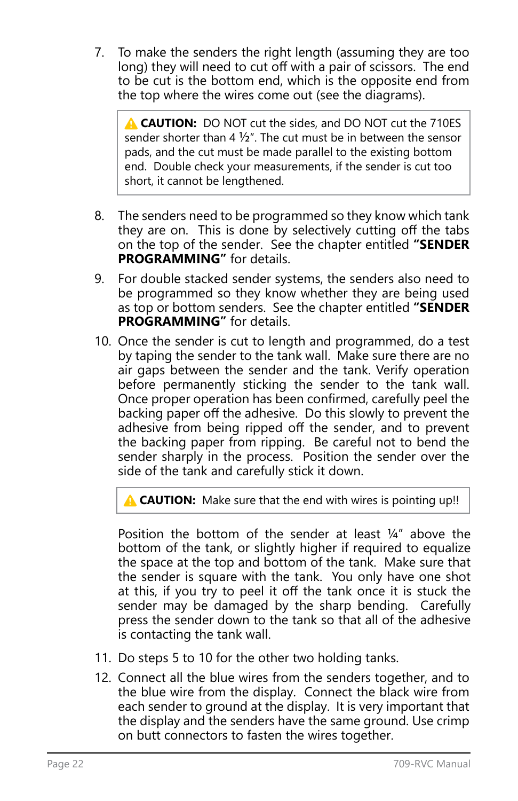7. To make the senders the right length (assuming they are too long) they will need to cut off with a pair of scissors. The end to be cut is the bottom end, which is the opposite end from the top where the wires come out (see the diagrams).

**A CAUTION:** DO NOT cut the sides, and DO NOT cut the 710ES sender shorter than 4  $\frac{1}{2}$ ". The cut must be in between the sensor pads, and the cut must be made parallel to the existing bottom end. Double check your measurements, if the sender is cut too short, it cannot be lengthened.

- 8. The senders need to be programmed so they know which tank they are on. This is done by selectively cutting off the tabs on the top of the sender. See the chapter entitled **"SENDER PROGRAMMING"** for details.
- 9. For double stacked sender systems, the senders also need to be programmed so they know whether they are being used as top or bottom senders. See the chapter entitled **"SENDER PROGRAMMING"** for details.
- 10. Once the sender is cut to length and programmed, do a test by taping the sender to the tank wall. Make sure there are no air gaps between the sender and the tank. Verify operation before permanently sticking the sender to the tank wall. Once proper operation has been confirmed, carefully peel the backing paper off the adhesive. Do this slowly to prevent the adhesive from being ripped off the sender, and to prevent the backing paper from ripping. Be careful not to bend the sender sharply in the process. Position the sender over the side of the tank and carefully stick it down.

**A CAUTION:** Make sure that the end with wires is pointing up!!

Position the bottom of the sender at least 1/4" above the bottom of the tank, or slightly higher if required to equalize the space at the top and bottom of the tank. Make sure that the sender is square with the tank. You only have one shot at this, if you try to peel it off the tank once it is stuck the sender may be damaged by the sharp bending. Carefully press the sender down to the tank so that all of the adhesive is contacting the tank wall.

- 11. Do steps 5 to 10 for the other two holding tanks.
- 12. Connect all the blue wires from the senders together, and to the blue wire from the display. Connect the black wire from each sender to ground at the display. It is very important that the display and the senders have the same ground. Use crimp on butt connectors to fasten the wires together.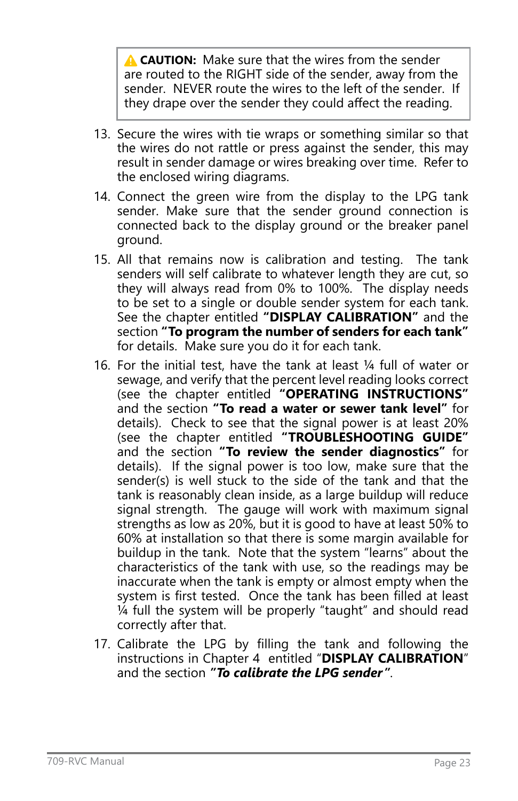**A CAUTION:** Make sure that the wires from the sender are routed to the RIGHT side of the sender, away from the sender. NEVER route the wires to the left of the sender. If they drape over the sender they could affect the reading.

- 13. Secure the wires with tie wraps or something similar so that the wires do not rattle or press against the sender, this may result in sender damage or wires breaking over time. Refer to the enclosed wiring diagrams.
- 14. Connect the green wire from the display to the LPG tank sender. Make sure that the sender ground connection is connected back to the display ground or the breaker panel ground.
- 15. All that remains now is calibration and testing. The tank senders will self calibrate to whatever length they are cut, so they will always read from 0% to 100%. The display needs to be set to a single or double sender system for each tank. See the chapter entitled **"DISPLAY CALIBRATION"** and the section **"To program the number of senders for each tank"** for details. Make sure you do it for each tank.
- 16. For the initial test, have the tank at least 1/4 full of water or sewage, and verify that the percent level reading looks correct (see the chapter entitled **"OPERATING INSTRUCTIONS"** and the section **"To read a water or sewer tank level"** for details). Check to see that the signal power is at least 20% (see the chapter entitled **"TROUBLESHOOTING GUIDE"** and the section **"To review the sender diagnostics"** for details). If the signal power is too low, make sure that the sender(s) is well stuck to the side of the tank and that the tank is reasonably clean inside, as a large buildup will reduce signal strength. The gauge will work with maximum signal strengths as low as 20%, but it is good to have at least 50% to 60% at installation so that there is some margin available for buildup in the tank. Note that the system "learns" about the characteristics of the tank with use, so the readings may be inaccurate when the tank is empty or almost empty when the system is first tested. Once the tank has been filled at least 1/4 full the system will be properly "taught" and should read correctly after that.
- 17. Calibrate the LPG by filling the tank and following the instructions in Chapter 4 entitled "**DISPLAY CALIBRATION**" and the section *"To calibrate the LPG sender"*.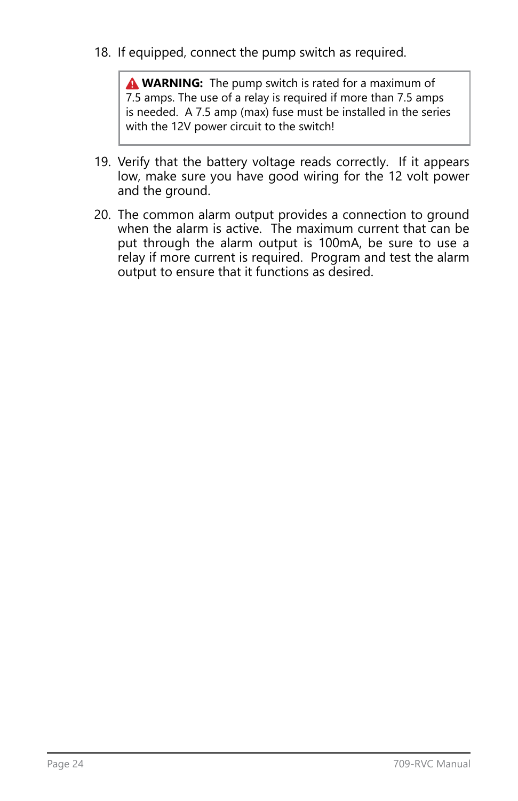18. If equipped, connect the pump switch as required.

**A WARNING:** The pump switch is rated for a maximum of 7.5 amps. The use of a relay is required if more than 7.5 amps is needed. A 7.5 amp (max) fuse must be installed in the series with the 12V power circuit to the switch!

- 19. Verify that the battery voltage reads correctly. If it appears low, make sure you have good wiring for the 12 volt power and the ground.
- 20. The common alarm output provides a connection to ground when the alarm is active. The maximum current that can be put through the alarm output is 100mA, be sure to use a relay if more current is required. Program and test the alarm output to ensure that it functions as desired.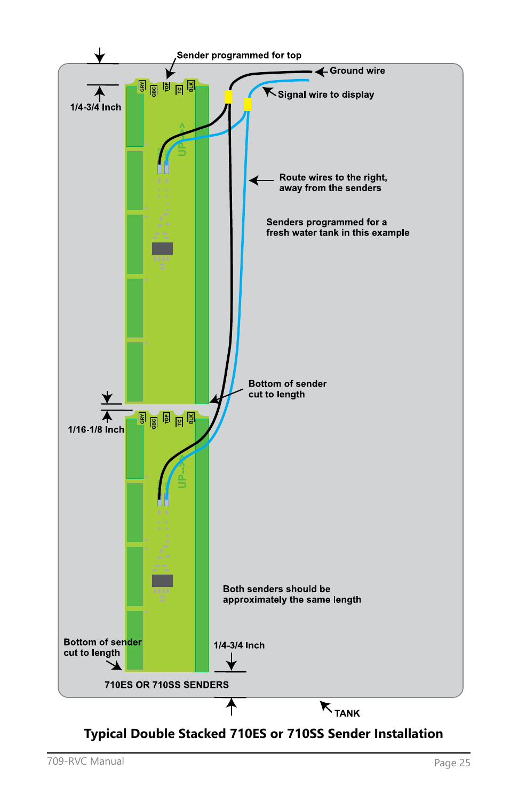

## **Typical Double Stacked 710ES or 710SS Sender Installation**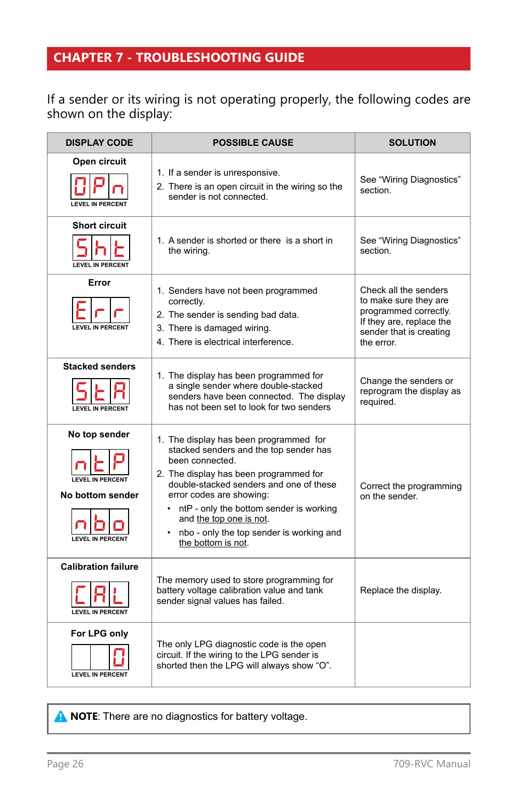## <span id="page-25-0"></span>**CHAPTER 7 - TROUBLESHOOTING GUIDE**

#### If a sender or its wiring is not operating properly, the following codes are shown on the display:

| <b>DISPLAY CODE</b>                                                                     | <b>POSSIBLE CAUSE</b>                                                                                                                                                                                                                                                                                                                                          | <b>SOLUTION</b>                                                                                                                              |
|-----------------------------------------------------------------------------------------|----------------------------------------------------------------------------------------------------------------------------------------------------------------------------------------------------------------------------------------------------------------------------------------------------------------------------------------------------------------|----------------------------------------------------------------------------------------------------------------------------------------------|
| Open circuit<br><b>LEVEL IN PERCENT</b>                                                 | 1. If a sender is unresponsive.<br>2. There is an open circuit in the wiring so the<br>sender is not connected.                                                                                                                                                                                                                                                | See "Wiring Diagnostics"<br>section.                                                                                                         |
| <b>Short circuit</b><br><b>LEVEL IN PERCENT</b>                                         | 1. A sender is shorted or there is a short in<br>the wiring.                                                                                                                                                                                                                                                                                                   | See "Wiring Diagnostics"<br>section.                                                                                                         |
| Error<br><b>LEVEL IN PERCENT</b>                                                        | 1. Senders have not been programmed<br>correctly.<br>2. The sender is sending bad data.<br>3. There is damaged wiring.<br>4. There is electrical interference.                                                                                                                                                                                                 | Check all the senders<br>to make sure they are<br>programmed correctly.<br>If they are, replace the<br>sender that is creating<br>the error. |
| <b>Stacked senders</b><br><b>I FVEL IN PERCENT</b>                                      | 1. The display has been programmed for<br>a single sender where double-stacked<br>senders have been connected. The display<br>has not been set to look for two senders                                                                                                                                                                                         | Change the senders or<br>reprogram the display as<br>reauired.                                                                               |
| No top sender<br><b>LEVEL IN PERCENT</b><br>No bottom sender<br><b>LEVEL IN PERCENT</b> | 1. The display has been programmed for<br>stacked senders and the top sender has<br>been connected.<br>2. The display has been programmed for<br>double-stacked senders and one of these<br>error codes are showing:<br>• ntP - only the bottom sender is working<br>and the top one is not.<br>nbo - only the top sender is working and<br>the bottom is not. | Correct the programming<br>on the sender.                                                                                                    |
| <b>Calibration failure</b><br><b>LEVEL IN PERCENT</b>                                   | The memory used to store programming for<br>battery voltage calibration value and tank<br>sender signal values has failed.                                                                                                                                                                                                                                     | Replace the display.                                                                                                                         |
| For LPG only<br><b>LEVEL IN PERCENT</b>                                                 | The only LPG diagnostic code is the open<br>circuit. If the wiring to the LPG sender is<br>shorted then the LPG will always show "O".                                                                                                                                                                                                                          |                                                                                                                                              |

**A NOTE:** There are no diagnostics for battery voltage.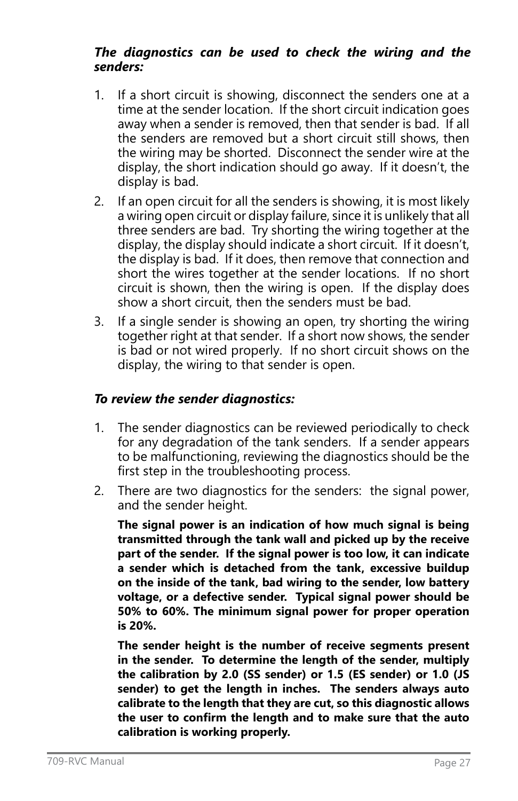#### *The diagnostics can be used to check the wiring and the senders:*

- 1. If a short circuit is showing, disconnect the senders one at a time at the sender location. If the short circuit indication goes away when a sender is removed, then that sender is bad. If all the senders are removed but a short circuit still shows, then the wiring may be shorted. Disconnect the sender wire at the display, the short indication should go away. If it doesn't, the display is bad.
- 2. If an open circuit for all the senders is showing, it is most likely a wiring open circuit or display failure, since it is unlikely that all three senders are bad. Try shorting the wiring together at the display, the display should indicate a short circuit. If it doesn't, the display is bad. If it does, then remove that connection and short the wires together at the sender locations. If no short circuit is shown, then the wiring is open. If the display does show a short circuit, then the senders must be bad.
- 3. If a single sender is showing an open, try shorting the wiring together right at that sender. If a short now shows, the sender is bad or not wired properly. If no short circuit shows on the display, the wiring to that sender is open.

## *To review the sender diagnostics:*

- 1. The sender diagnostics can be reviewed periodically to check for any degradation of the tank senders. If a sender appears to be malfunctioning, reviewing the diagnostics should be the first step in the troubleshooting process.
- 2. There are two diagnostics for the senders: the signal power, and the sender height.

**The signal power is an indication of how much signal is being transmitted through the tank wall and picked up by the receive part of the sender. If the signal power is too low, it can indicate a sender which is detached from the tank, excessive buildup on the inside of the tank, bad wiring to the sender, low battery voltage, or a defective sender. Typical signal power should be 50% to 60%. The minimum signal power for proper operation is 20%.**

**The sender height is the number of receive segments present in the sender. To determine the length of the sender, multiply the calibration by 2.0 (SS sender) or 1.5 (ES sender) or 1.0 (JS sender) to get the length in inches. The senders always auto calibrate to the length that they are cut, so this diagnostic allows the user to confirm the length and to make sure that the auto calibration is working properly.**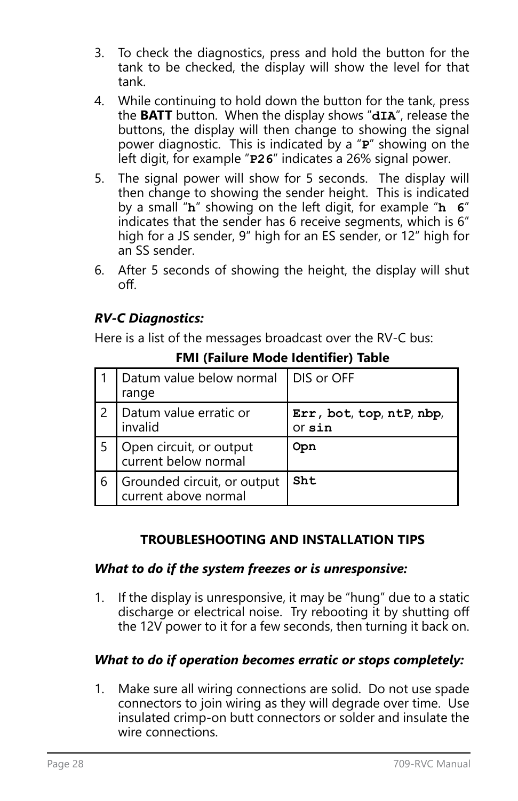- 3. To check the diagnostics, press and hold the button for the tank to be checked, the display will show the level for that tank.
- 4. While continuing to hold down the button for the tank, press the **BATT** button. When the display shows "**dIA**", release the buttons, the display will then change to showing the signal power diagnostic. This is indicated by a "**P**" showing on the left digit, for example "**P26**" indicates a 26% signal power.
- 5. The signal power will show for 5 seconds. The display will then change to showing the sender height. This is indicated by a small "**h**" showing on the left digit, for example "**h 6**" indicates that the sender has 6 receive segments, which is 6" high for a JS sender, 9" high for an ES sender, or 12" high for an SS sender.
- 6. After 5 seconds of showing the height, the display will shut off.

## *RV-C Diagnostics:*

Here is a list of the messages broadcast over the RV-C bus:

|   | Datum value below normal<br>range                   | DIS or OFF                         |
|---|-----------------------------------------------------|------------------------------------|
|   | Datum value erratic or<br>invalid                   | Err, bot, top, ntP, nbp,<br>or sin |
|   | Open circuit, or output<br>current below normal     | Opn                                |
| 6 | Grounded circuit, or output<br>current above normal | Sht                                |

**FMI (Failure Mode Identifier) Table**

## **TROUBLESHOOTING AND INSTALLATION TIPS**

## *What to do if the system freezes or is unresponsive:*

1. If the display is unresponsive, it may be "hung" due to a static discharge or electrical noise. Try rebooting it by shutting off the 12V power to it for a few seconds, then turning it back on.

## *What to do if operation becomes erratic or stops completely:*

1. Make sure all wiring connections are solid. Do not use spade connectors to join wiring as they will degrade over time. Use insulated crimp-on butt connectors or solder and insulate the wire connections.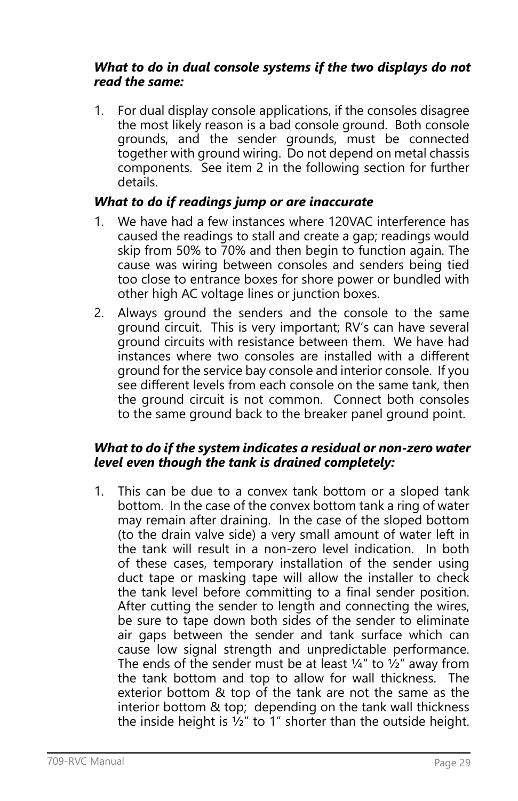## *What to do in dual console systems if the two displays do not read the same:*

1. For dual display console applications, if the consoles disagree the most likely reason is a bad console ground. Both console grounds, and the sender grounds, must be connected together with ground wiring. Do not depend on metal chassis components. See item 2 in the following section for further details.

## *What to do if readings jump or are inaccurate*

- 1. We have had a few instances where 120VAC interference has caused the readings to stall and create a gap; readings would skip from 50% to 70% and then begin to function again. The cause was wiring between consoles and senders being tied too close to entrance boxes for shore power or bundled with other high AC voltage lines or junction boxes.
- 2. Always ground the senders and the console to the same ground circuit. This is very important; RV's can have several ground circuits with resistance between them. We have had instances where two consoles are installed with a different ground for the service bay console and interior console. If you see different levels from each console on the same tank, then the ground circuit is not common. Connect both consoles to the same ground back to the breaker panel ground point.

#### *What to do if the system indicates a residual or non-zero water level even though the tank is drained completely:*

1. This can be due to a convex tank bottom or a sloped tank bottom. In the case of the convex bottom tank a ring of water may remain after draining. In the case of the sloped bottom (to the drain valve side) a very small amount of water left in the tank will result in a non-zero level indication. In both of these cases, temporary installation of the sender using duct tape or masking tape will allow the installer to check the tank level before committing to a final sender position. After cutting the sender to length and connecting the wires, be sure to tape down both sides of the sender to eliminate air gaps between the sender and tank surface which can cause low signal strength and unpredictable performance. The ends of the sender must be at least  $\frac{1}{4}$ " to  $\frac{1}{2}$ " away from the tank bottom and top to allow for wall thickness. The exterior bottom & top of the tank are not the same as the interior bottom & top; depending on the tank wall thickness the inside height is ½" to 1" shorter than the outside height.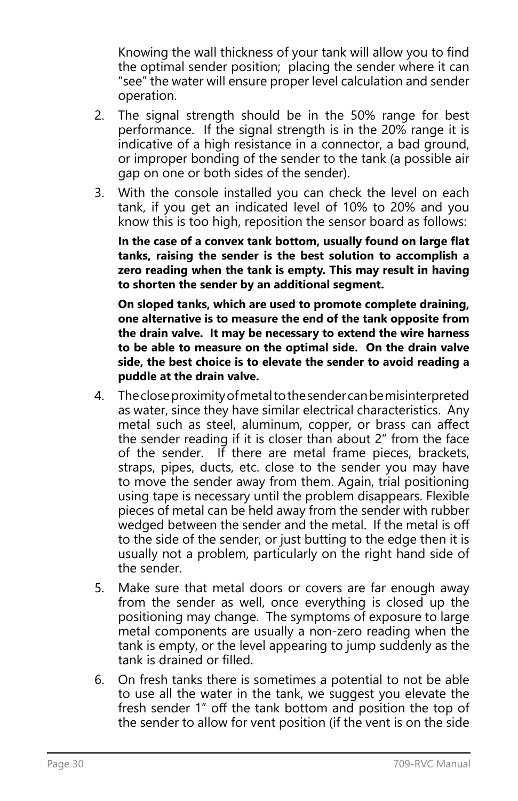Knowing the wall thickness of your tank will allow you to find the optimal sender position; placing the sender where it can "see" the water will ensure proper level calculation and sender operation.

- 2. The signal strength should be in the 50% range for best performance. If the signal strength is in the 20% range it is indicative of a high resistance in a connector, a bad ground, or improper bonding of the sender to the tank (a possible air gap on one or both sides of the sender).
- 3. With the console installed you can check the level on each tank, if you get an indicated level of 10% to 20% and you know this is too high, reposition the sensor board as follows:

**In the case of a convex tank bottom, usually found on large flat tanks, raising the sender is the best solution to accomplish a zero reading when the tank is empty. This may result in having to shorten the sender by an additional segment.**

**On sloped tanks, which are used to promote complete draining, one alternative is to measure the end of the tank opposite from the drain valve. It may be necessary to extend the wire harness to be able to measure on the optimal side. On the drain valve side, the best choice is to elevate the sender to avoid reading a puddle at the drain valve.**

- 4. The close proximity of metal to the sender can be misinterpreted as water, since they have similar electrical characteristics. Any metal such as steel, aluminum, copper, or brass can affect the sender reading if it is closer than about 2" from the face of the sender. If there are metal frame pieces, brackets, straps, pipes, ducts, etc. close to the sender you may have to move the sender away from them. Again, trial positioning using tape is necessary until the problem disappears. Flexible pieces of metal can be held away from the sender with rubber wedged between the sender and the metal. If the metal is off to the side of the sender, or just butting to the edge then it is usually not a problem, particularly on the right hand side of the sender.
- 5. Make sure that metal doors or covers are far enough away from the sender as well, once everything is closed up the positioning may change. The symptoms of exposure to large metal components are usually a non-zero reading when the tank is empty, or the level appearing to jump suddenly as the tank is drained or filled.
- 6. On fresh tanks there is sometimes a potential to not be able to use all the water in the tank, we suggest you elevate the fresh sender 1" off the tank bottom and position the top of the sender to allow for vent position (if the vent is on the side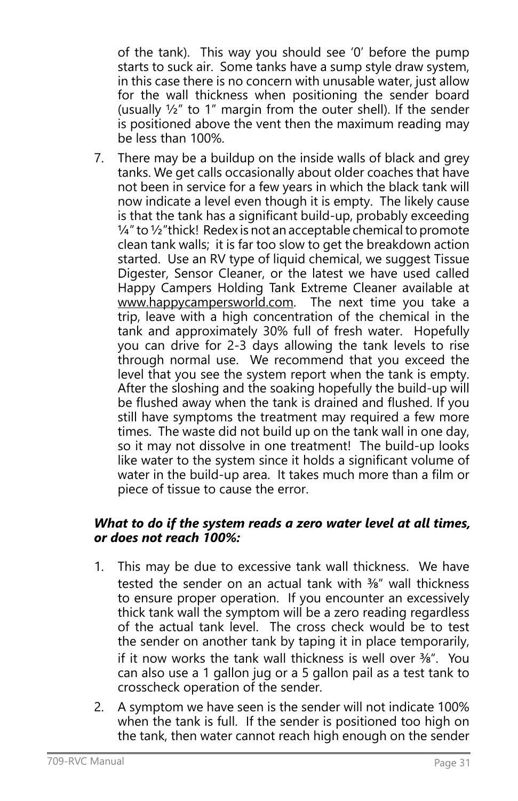of the tank). This way you should see '0' before the pump starts to suck air. Some tanks have a sump style draw system, in this case there is no concern with unusable water, just allow for the wall thickness when positioning the sender board (usually ½" to 1" margin from the outer shell). If the sender is positioned above the vent then the maximum reading may be less than 100%.

7. There may be a buildup on the inside walls of black and grey tanks. We get calls occasionally about older coaches that have not been in service for a few years in which the black tank will now indicate a level even though it is empty. The likely cause is that the tank has a significant build-up, probably exceeding  $\frac{1}{4}$ " to  $\frac{1}{2}$ " thick! Redex is not an acceptable chemical to promote clean tank walls; it is far too slow to get the breakdown action started. Use an RV type of liquid chemical, we suggest Tissue Digester, Sensor Cleaner, or the latest we have used called Happy Campers Holding Tank Extreme Cleaner available at www.happycampersworld.com. The next time you take a trip, leave with a high concentration of the chemical in the tank and approximately 30% full of fresh water. Hopefully you can drive for 2-3 days allowing the tank levels to rise through normal use. We recommend that you exceed the level that you see the system report when the tank is empty. After the sloshing and the soaking hopefully the build-up will be flushed away when the tank is drained and flushed. If you still have symptoms the treatment may required a few more times. The waste did not build up on the tank wall in one day, so it may not dissolve in one treatment! The build-up looks like water to the system since it holds a significant volume of water in the build-up area. It takes much more than a film or piece of tissue to cause the error.

#### *What to do if the system reads a zero water level at all times, or does not reach 100%:*

- 1. This may be due to excessive tank wall thickness. We have tested the sender on an actual tank with 3%" wall thickness to ensure proper operation. If you encounter an excessively thick tank wall the symptom will be a zero reading regardless of the actual tank level. The cross check would be to test the sender on another tank by taping it in place temporarily, if it now works the tank wall thickness is well over  $\frac{3}{8}$ ". You can also use a 1 gallon jug or a 5 gallon pail as a test tank to crosscheck operation of the sender.
- 2. A symptom we have seen is the sender will not indicate 100% when the tank is full. If the sender is positioned too high on the tank, then water cannot reach high enough on the sender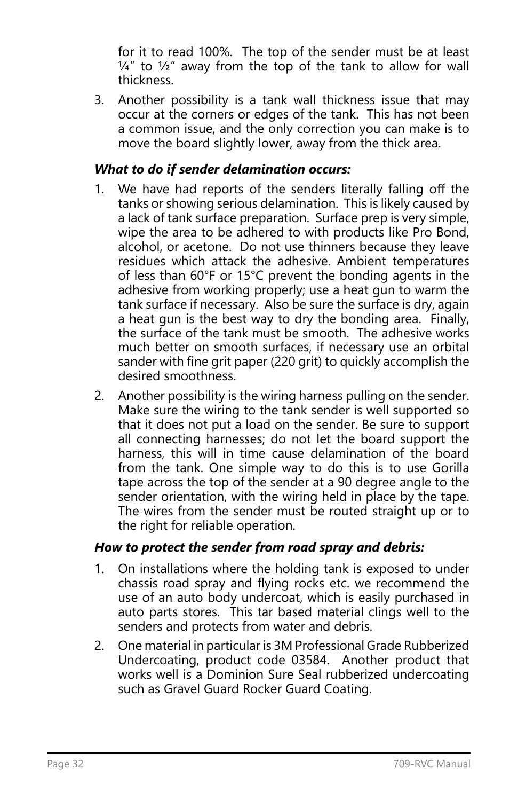for it to read 100%. The top of the sender must be at least  $\frac{1}{4}$ " to  $\frac{1}{2}$ " away from the top of the tank to allow for wall thickness.

3. Another possibility is a tank wall thickness issue that may occur at the corners or edges of the tank. This has not been a common issue, and the only correction you can make is to move the board slightly lower, away from the thick area.

## *What to do if sender delamination occurs:*

- 1. We have had reports of the senders literally falling off the tanks or showing serious delamination. This is likely caused by a lack of tank surface preparation. Surface prep is very simple, wipe the area to be adhered to with products like Pro Bond, alcohol, or acetone. Do not use thinners because they leave residues which attack the adhesive. Ambient temperatures of less than 60°F or 15°C prevent the bonding agents in the adhesive from working properly; use a heat gun to warm the tank surface if necessary. Also be sure the surface is dry, again a heat gun is the best way to dry the bonding area. Finally, the surface of the tank must be smooth. The adhesive works much better on smooth surfaces, if necessary use an orbital sander with fine grit paper (220 grit) to quickly accomplish the desired smoothness.
- 2. Another possibility is the wiring harness pulling on the sender. Make sure the wiring to the tank sender is well supported so that it does not put a load on the sender. Be sure to support all connecting harnesses; do not let the board support the harness, this will in time cause delamination of the board from the tank. One simple way to do this is to use Gorilla tape across the top of the sender at a 90 degree angle to the sender orientation, with the wiring held in place by the tape. The wires from the sender must be routed straight up or to the right for reliable operation.

## *How to protect the sender from road spray and debris:*

- 1. On installations where the holding tank is exposed to under chassis road spray and flying rocks etc. we recommend the use of an auto body undercoat, which is easily purchased in auto parts stores. This tar based material clings well to the senders and protects from water and debris.
- 2. One material in particular is 3M Professional Grade Rubberized Undercoating, product code 03584. Another product that works well is a Dominion Sure Seal rubberized undercoating such as Gravel Guard Rocker Guard Coating.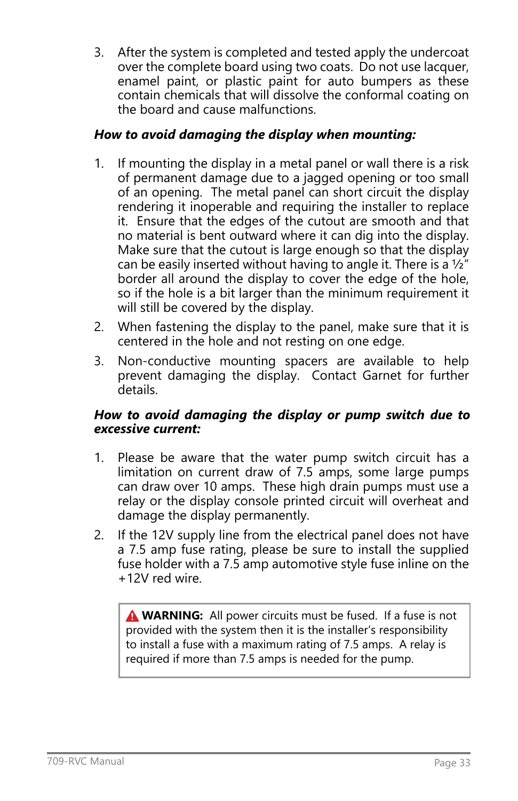3. After the system is completed and tested apply the undercoat over the complete board using two coats. Do not use lacquer, enamel paint, or plastic paint for auto bumpers as these contain chemicals that will dissolve the conformal coating on the board and cause malfunctions.

## *How to avoid damaging the display when mounting:*

- 1. If mounting the display in a metal panel or wall there is a risk of permanent damage due to a jagged opening or too small of an opening. The metal panel can short circuit the display rendering it inoperable and requiring the installer to replace it. Ensure that the edges of the cutout are smooth and that no material is bent outward where it can dig into the display. Make sure that the cutout is large enough so that the display can be easily inserted without having to angle it. There is a  $\frac{1}{2}$ " border all around the display to cover the edge of the hole, so if the hole is a bit larger than the minimum requirement it will still be covered by the display.
- 2. When fastening the display to the panel, make sure that it is centered in the hole and not resting on one edge.
- 3. Non-conductive mounting spacers are available to help prevent damaging the display. Contact Garnet for further details.

## *How to avoid damaging the display or pump switch due to excessive current:*

- 1. Please be aware that the water pump switch circuit has a limitation on current draw of 7.5 amps, some large pumps can draw over 10 amps. These high drain pumps must use a relay or the display console printed circuit will overheat and damage the display permanently.
- 2. If the 12V supply line from the electrical panel does not have a 7.5 amp fuse rating, please be sure to install the supplied fuse holder with a 7.5 amp automotive style fuse inline on the +12V red wire.

**A WARNING:** All power circuits must be fused. If a fuse is not provided with the system then it is the installer's responsibility to install a fuse with a maximum rating of 7.5 amps. A relay is required if more than 7.5 amps is needed for the pump.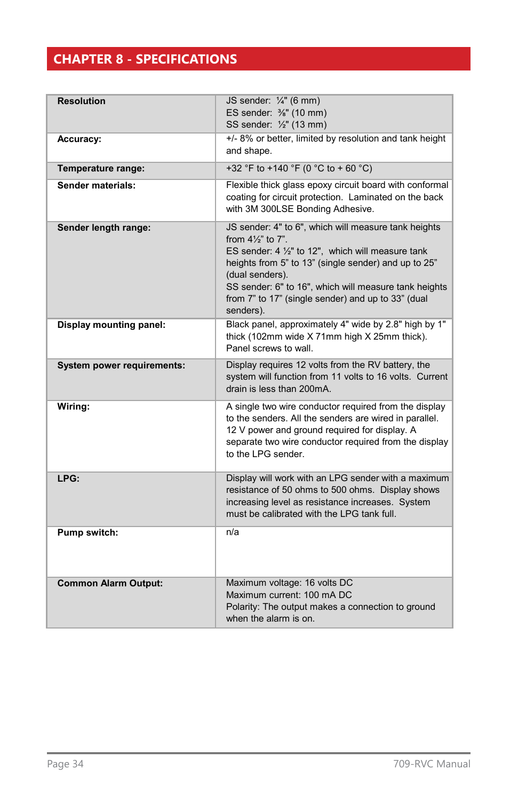## <span id="page-33-0"></span>**CHAPTER 8 - SPECIFICATIONS**

| <b>Resolution</b>           | JS sender: 1/4" (6 mm)<br>ES sender: 3/8" (10 mm)<br>SS sender: 1/2" (13 mm)                                                                                                                                                                                                                                                                      |
|-----------------------------|---------------------------------------------------------------------------------------------------------------------------------------------------------------------------------------------------------------------------------------------------------------------------------------------------------------------------------------------------|
| Accuracy:                   | +/- 8% or better, limited by resolution and tank height<br>and shape.                                                                                                                                                                                                                                                                             |
| Temperature range:          | +32 °F to +140 °F (0 °C to + 60 °C)                                                                                                                                                                                                                                                                                                               |
| Sender materials:           | Flexible thick glass epoxy circuit board with conformal<br>coating for circuit protection. Laminated on the back<br>with 3M 300LSE Bonding Adhesive.                                                                                                                                                                                              |
| Sender length range:        | JS sender: 4" to 6", which will measure tank heights<br>from $4\frac{1}{3}$ to $7$ ".<br>ES sender: 4 1/2" to 12", which will measure tank<br>heights from 5" to 13" (single sender) and up to 25"<br>(dual senders).<br>SS sender: 6" to 16", which will measure tank heights<br>from 7" to 17" (single sender) and up to 33" (dual<br>senders). |
| Display mounting panel:     | Black panel, approximately 4" wide by 2.8" high by 1"<br>thick (102mm wide X 71mm high X 25mm thick).<br>Panel screws to wall.                                                                                                                                                                                                                    |
| System power requirements:  | Display requires 12 volts from the RV battery, the<br>system will function from 11 volts to 16 volts. Current<br>drain is less than 200mA.                                                                                                                                                                                                        |
| Wiring:                     | A single two wire conductor required from the display<br>to the senders. All the senders are wired in parallel.<br>12 V power and ground required for display. A<br>separate two wire conductor required from the display<br>to the LPG sender.                                                                                                   |
| LPG:                        | Display will work with an LPG sender with a maximum<br>resistance of 50 ohms to 500 ohms. Display shows<br>increasing level as resistance increases. System<br>must be calibrated with the LPG tank full.                                                                                                                                         |
| Pump switch:                | n/a                                                                                                                                                                                                                                                                                                                                               |
| <b>Common Alarm Output:</b> | Maximum voltage: 16 volts DC<br>Maximum current: 100 mA DC<br>Polarity: The output makes a connection to ground<br>when the alarm is on.                                                                                                                                                                                                          |